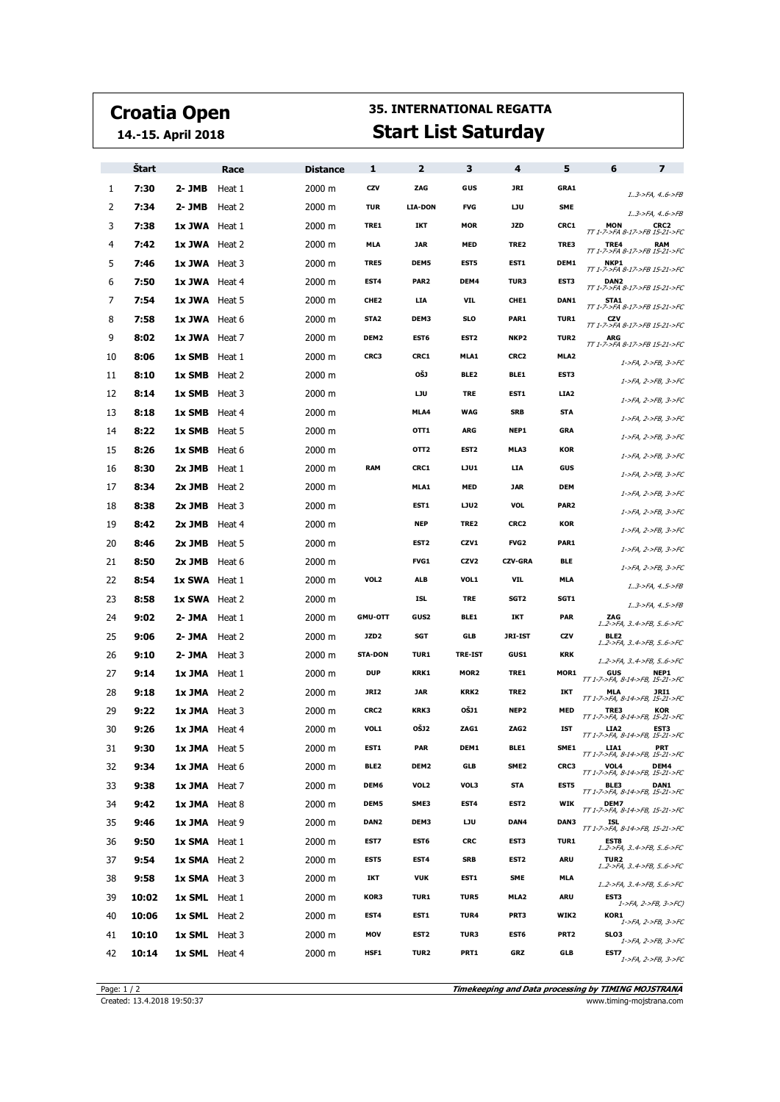## **Croatia Open**

**14.-15. April 2018**

## **35. INTERNATIONAL REGATTA Start List Saturday**

|    | <b>Start</b> |                      | Race   | <b>Distance</b> | 1                | $\overline{2}$   | з                | 4                | 5                | 6                                             | $\overline{\phantom{a}}$           |
|----|--------------|----------------------|--------|-----------------|------------------|------------------|------------------|------------------|------------------|-----------------------------------------------|------------------------------------|
| 1  | 7:30         | 2- JMB               | Heat 1 | 2000 m          | CZV              | ZAG              | GUS              | JRI              | GRA1             |                                               | $13$ ->FA, $46$ ->FB               |
| 2  | 7:34         | 2- JMB               | Heat 2 | 2000 m          | <b>TUR</b>       | <b>LIA-DON</b>   | <b>FVG</b>       | LJU              | <b>SME</b>       |                                               | 13->FA, 46->FB                     |
| 3  | 7:38         | 1x JWA Heat 1        |        | 2000 m          | TRE1             | IKT              | <b>MOR</b>       | <b>JZD</b>       | CRC1             | <b>MON</b><br>TT 1-7->FA 8-17->FB 15-21->FC   | CRC2                               |
| 4  | 7:42         | 1x JWA Heat 2        |        | 2000 m          | <b>MLA</b>       | <b>JAR</b>       | <b>MED</b>       | TRE2             | TRE3             | TRE4<br>TT 1-7->FA 8-17->FB 15-21->FC         | RAM                                |
| 5  | 7:46         | 1x JWA Heat 3        |        | 2000 m          | TRE5             | DEM5             | <b>EST5</b>      | EST1             | DEM1             | NKP1<br>TT 1-7->FA 8-17->FB 15-21->FC         |                                    |
| 6  | 7:50         | 1x JWA Heat 4        |        | 2000 m          | EST4             | PAR <sub>2</sub> | DEM4             | TUR3             | EST3             | DAN2<br>TT 1-7->FA 8-17->FB 15-21->FC         |                                    |
| 7  | 7:54         | 1x JWA Heat 5        |        | 2000 m          | CHE <sub>2</sub> | <b>LIA</b>       | VIL              | CHE1             | DAN1             | STA1<br>TT 1-7->FA 8-17->FB 15-21->FC         |                                    |
| 8  | 7:58         | 1x JWA Heat 6        |        | 2000 m          | STA <sub>2</sub> | DEM3             | <b>SLO</b>       | PAR1             | <b>TUR1</b>      | CZV<br>TT 1-7->FA 8-17->FB 15-21->FC          |                                    |
| 9  | 8:02         | 1x JWA Heat 7        |        | 2000 m          | DEM <sub>2</sub> | EST6             | EST <sub>2</sub> | NKP <sub>2</sub> | TUR <sub>2</sub> | ARG<br>TT 1-7->FA 8-17->FB 15-21->FC          |                                    |
| 10 | 8:06         | <b>1x SMB</b> Heat 1 |        | 2000 m          | CRC3             | CRC1             | MLA1             | CRC2             | MLA <sub>2</sub> |                                               | 1->FA, 2->FB, 3->FC                |
| 11 | 8:10         | <b>1x SMB</b> Heat 2 |        | 2000 m          |                  | OŠJ              | BLE <sub>2</sub> | BLE1             | EST3             |                                               | 1->FA, 2->FB, 3->FC                |
| 12 | 8:14         | <b>1x SMB</b> Heat 3 |        | 2000 m          |                  | <b>LJU</b>       | <b>TRE</b>       | EST1             | LIA <sub>2</sub> |                                               | 1->FA, 2->FB, 3->FC                |
| 13 | 8:18         | 1x SMB Heat 4        |        | 2000 m          |                  | MLA4             | <b>WAG</b>       | <b>SRB</b>       | STA              |                                               | 1->FA, 2->FB, 3->FC                |
| 14 | 8:22         | <b>1x SMB</b> Heat 5 |        | 2000 m          |                  | 0TT1             | <b>ARG</b>       | NEP1             | <b>GRA</b>       |                                               | 1->FA, 2->FB, 3->FC                |
| 15 | 8:26         | 1x SMB Heat 6        |        | 2000 m          |                  | OTT <sub>2</sub> | EST <sub>2</sub> | MLA3             | <b>KOR</b>       |                                               | 1->FA, 2->FB, 3->FC                |
| 16 | 8:30         | 2x JMB               | Heat 1 | 2000 m          | <b>RAM</b>       | CRC1             | LJU1             | LIA              | GUS              |                                               | 1->FA, 2->FB, 3->FC                |
| 17 | 8:34         | 2x JMB Heat 2        |        | 2000 m          |                  | MLA1             | <b>MED</b>       | <b>JAR</b>       | <b>DEM</b>       |                                               | 1->FA, 2->FB, 3->FC                |
| 18 | 8:38         | 2x JMB               | Heat 3 | 2000 m          |                  | EST1             | LJU2             | <b>VOL</b>       | PAR <sub>2</sub> |                                               | 1->FA, 2->FB, 3->FC                |
| 19 | 8:42         | 2x JMB               | Heat 4 | 2000 m          |                  | <b>NEP</b>       | TRE2             | CRC2             | <b>KOR</b>       |                                               | 1->FA, 2->FB, 3->FC                |
| 20 | 8:46         | 2x JMB               | Heat 5 | 2000 m          |                  | EST <sub>2</sub> | CZV1             | FVG <sub>2</sub> | PAR1             |                                               | 1->FA, 2->FB, 3->FC                |
| 21 | 8:50         | $2x$ JMB Heat 6      |        | 2000 m          |                  | FVG1             | CZV <sub>2</sub> | <b>CZV-GRA</b>   | <b>BLE</b>       |                                               | 1->FA, 2->FB, 3->FC                |
| 22 | 8:54         | <b>1x SWA</b> Heat 1 |        | 2000 m          | VOL <sub>2</sub> | ALB              | VOL1             | VIL              | <b>MLA</b>       |                                               | $1.3 - 5FA, 4.5 - 5FB$             |
| 23 | 8:58         | <b>1x SWA</b> Heat 2 |        | 2000 m          |                  | ISL              | <b>TRE</b>       | SGT <sub>2</sub> | SGT1             |                                               | $1.3 - 5FA, 4.5 - 5FB$             |
| 24 | 9:02         | 2- JMA               | Heat 1 | 2000 m          | <b>GMU-OTT</b>   | GUS2             | BLE1             | IKT              | <b>PAR</b>       | ZAG                                           | 12->FA, 34->FB, 56->FC             |
| 25 | 9:06         | 2- JMA               | Heat 2 | 2000 m          | JZD <sub>2</sub> | <b>SGT</b>       | GLB              | <b>JRI-IST</b>   | CZV              | BLE2                                          | 12->FA, 34->FB, 56->FC             |
| 26 | 9:10         | 2- JMA               | Heat 3 | 2000 m          | <b>STA-DON</b>   | <b>TUR1</b>      | <b>TRE-IST</b>   | GUS1             | <b>KRK</b>       |                                               | 12->FA, 34->FB, 56->FC             |
| 27 | 9:14         | 1x JMA Heat 1        |        | 2000 m          | <b>DUP</b>       | KRK1             | MOR <sub>2</sub> | TRE1             | MOR1             | GUS<br>TT 1-7->FA, 8-14->FB, 15-21->FC        | NEP1                               |
| 28 | 9:18         | 1x JMA Heat 2        |        | 2000 m          | JRI2             | <b>JAR</b>       | KRK2             | TRE2             | IKT              | <b>MLA</b><br>TT 1-7->FA, 8-14->FB, 15-21->FC | JRI1                               |
| 29 | 9:22         | 1x JMA Heat 3        |        | 2000 m          | CRC2             | KRK3             | OŠJ1             | NEP <sub>2</sub> | <b>MED</b>       | TRE3<br>TT 1-7->FA, 8-14->FB, 15-21->FC       | <b>KOR</b>                         |
| 30 | 9:26         | 1x JMA Heat 4        |        | 2000 m          | VOL1             | <b>OŠJ2</b>      | ZAG1             | ZAG <sub>2</sub> | <b>IST</b>       | LIA2<br>TT 1-7->FA, 8-14->FB, 15-21->FC       | EST3                               |
| 31 | 9:30         | <b>1x JMA</b> Heat 5 |        | 2000 m          | EST1             | PAR              | DEM1             | BLE1             | SME1             | LIA1<br>TT 1-7->FA, 8-14->FB, 15-21->FC       | PRT                                |
| 32 | 9:34         | 1x JMA Heat 6        |        | 2000 m          | BLE <sub>2</sub> | DEM2             | GLB              | SME <sub>2</sub> | CRC3             | VOL4<br>TT 1-7->FA, 8-14->FB, 15-21->FC       | DEM4                               |
| 33 | 9:38         | 1x JMA Heat 7        |        | 2000 m          | DEM6             | VOL2             | VOL3             | <b>STA</b>       | EST5             | BLE3<br>TT 1-7->FA, 8-14->FB, 15-21->FC       | <b>DAN1</b>                        |
| 34 | 9:42         | 1x JMA Heat 8        |        | 2000 m          | DEM5             | SME3             | EST4             | EST <sub>2</sub> | WIK              | DEM7<br>TT 1-7->FA, 8-14->FB, 15-21->FC       |                                    |
| 35 | 9:46         | 1x JMA Heat 9        |        | 2000 m          | DAN <sub>2</sub> | DEM3             | IJU              | DAN4             | DAN3             | ISL<br>TT 1-7->FA, 8-14->FB, 15-21->FC        |                                    |
| 36 | 9:50         | <b>1x SMA</b> Heat 1 |        | 2000 m          | EST7             | EST6             | <b>CRC</b>       | EST3             | <b>TUR1</b>      | EST8                                          | 12->FA, 34->FB, 56->FC             |
| 37 | 9:54         | 1x SMA Heat 2        |        | 2000 m          | EST5             | EST4             | <b>SRB</b>       | EST <sub>2</sub> | ARU              | TUR2                                          | 12->FA, 34->FB, 56->FC             |
| 38 | 9:58         | 1x SMA Heat 3        |        | 2000 m          | IKT              | <b>VUK</b>       | EST1             | <b>SME</b>       | <b>MLA</b>       |                                               | $1.2$ ->FA, $3.4$ ->FB, $5.6$ ->FC |
| 39 | 10:02        | <b>1x SML</b> Heat 1 |        | 2000 m          | KOR3             | <b>TUR1</b>      | TUR5             | MLA2             | ARU              | EST3                                          | 1->FA, 2->FB, 3->FC)               |
| 40 | 10:06        | 1x SML Heat 2        |        | 2000 m          | EST4             | EST1             | TUR4             | PRT3             | WIK2             | KOR1                                          | 1->FA, 2->FB, 3->FC                |
| 41 | 10:10        | <b>1x SML</b> Heat 3 |        | 2000 m          | MOV              | EST <sub>2</sub> | TUR3             | EST6             | PRT <sub>2</sub> | SLO3                                          | 1->FA, 2->FB, 3->FC                |
| 42 | 10:14        | <b>1x SML</b> Heat 4 |        | 2000 m          | HSF1             | TUR2             | PRT1             | GRZ              | GLB              | EST7                                          | 1->FA, 2->FB, 3->FC                |

**Timekeeping and Data processing by TIMING MOJSTRANA** Page: 1 / 2<br>Created: 13.4.2018 19:50:37 **Timekeeping and Data processing by TIMING MOJSTRANA**<br>www.timing-mojstrana.com